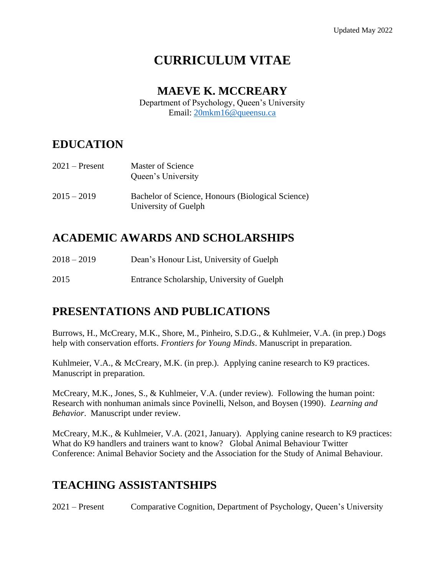# **CURRICULUM VITAE**

#### **MAEVE K. MCCREARY**

Department of Psychology, Queen's University Email: [20mkm16@queensu.ca](mailto:20mkm16@queensu.ca)

### **EDUCATION**

| $2021 -$ Present | Master of Science<br>Queen's University                                   |
|------------------|---------------------------------------------------------------------------|
| $2015 - 2019$    | Bachelor of Science, Honours (Biological Science)<br>University of Guelph |

### **ACADEMIC AWARDS AND SCHOLARSHIPS**

- 2018 2019 Dean's Honour List, University of Guelph
- 2015 Entrance Scholarship, University of Guelph

### **PRESENTATIONS AND PUBLICATIONS**

Burrows, H., McCreary, M.K., Shore, M., Pinheiro, S.D.G., & Kuhlmeier, V.A. (in prep.) Dogs help with conservation efforts. *Frontiers for Young Minds*. Manuscript in preparation.

Kuhlmeier, V.A., & McCreary, M.K. (in prep.). Applying canine research to K9 practices. Manuscript in preparation.

McCreary, M.K., Jones, S., & Kuhlmeier, V.A. (under review). Following the human point: Research with nonhuman animals since Povinelli, Nelson, and Boysen (1990). *Learning and Behavior*. Manuscript under review.

McCreary, M.K., & Kuhlmeier, V.A. (2021, January). Applying canine research to K9 practices: What do K9 handlers and trainers want to know? Global Animal Behaviour Twitter Conference: Animal Behavior Society and the Association for the Study of Animal Behaviour.

### **TEACHING ASSISTANTSHIPS**

2021 – Present Comparative Cognition, Department of Psychology, Queen's University